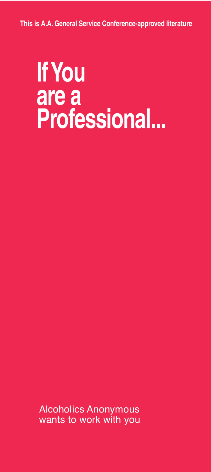**This is A.A. General Service Conference-approved literature**

# **IfYou are a Professional...**

Alcoholics Anonymous wants to work with you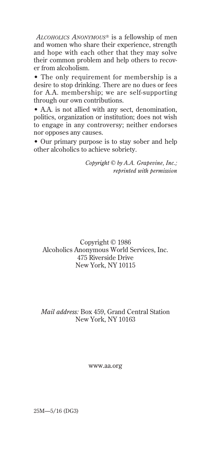*ALCOHOLICS ANONYMOUS®* is a fellowship of men and women who share their experience, strength and hope with each other that they may solve their common problem and help others to recover from alcoholism.

• The only requirement for membership is a desire to stop drinking. There are no dues or fees for A.A. membership; we are self-supporting through our own contributions.

• A.A. is not allied with any sect, denomination, politics, organization or institution; does not wish to engage in any controversy; neither endorses nor opposes any causes.

• Our primary purpose is to stay sober and help other alcoholics to achieve sobriety.

> *Copyright © by A.A. Grapevine, Inc.; reprinted with permission*

Copyright © 1986 Alcoholics Anonymous World Services, Inc. 475 Riverside Drive New York, NY 10115

### *Mail address:* Box 459, Grand Central Station New York, NY 10163

www.aa.org

25M—5/16 (DG3)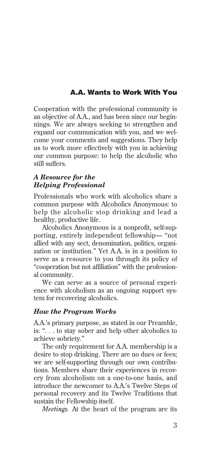# **A.A. Wants to Work With You**

Cooperation with the professional community is an objective of A.A., and has been since our beginnings. We are always seeking to strengthen and expand our communication with you, and we welcome your comments and suggestions. They help us to work more effectively with you in achieving our common purpose: to help the alcoholic who still suffers.

#### *A Resource for the Helping Professional*

Professionals who work with alcoholics share a common purpose with Alcoholics Anonymous: to help the alcoholic stop drinking and lead a healthy, productive life.

Alcoholics Anonymous is a nonprofit, self-supporting, entirely independent fellowship— "not allied with any sect, denomination, politics, organization or institution." Yet A.A. is in a position to serve as a resource to you through its policy of "cooperation but not affiliation" with the professional community.

We can serve as a source of personal experience with alcoholism as an ongoing support system for recovering alcoholics.

### *How the Program Works*

A.A.'s primary purpose, as stated in our Preamble, is: ". . . to stay sober and help other alcoholics to achieve sobriety."

The only requirement for A.A. membership is a desire to stop drinking. There are no dues or fees; we are self-supporting through our own contributions. Members share their experiences in recovery from alcoholism on a one-to-one basis, and introduce the newcomer to A.A.'s Twelve Steps of personal recovery and its Twelve Traditions that sustain the Fellowship itself.

*Meetings.* At the heart of the program are its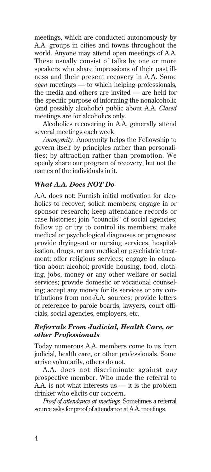meetings, which are conducted autonomously by A.A. groups in cities and towns throughout the world. Anyone may attend open meetings of A.A. These usually consist of talks by one or more speakers who share impressions of their past illness and their present recovery in A.A. Some *open* meetings — to which helping professionals, the media and others are invited — are held for the specific purpose of informing the nonalcoholic (and possibly alcoholic) public about A.A. *Closed* meetings are for alcoholics only.

Alcoholics recovering in A.A. generally attend several meetings each week.

*Anonymity.* Anonymity helps the Fellowship to govern itself by principles rather than personalities; by attraction rather than promotion. We openly share our program of recovery, but not the names of the individuals in it.

## *What A.A. Does NOT Do*

A.A. does not: Furnish initial motivation for alcoholics to recover; solicit members; engage in or sponsor research; keep attendance records or case histories; join "councils" of social agencies; follow up or try to control its members; make medical or psychological diagnoses or prognoses; provide drying-out or nursing services, hospitalization, drugs, or any medical or psychiatric treatment; offer religious services; engage in education about alcohol; provide housing, food, clothing, jobs, money or any other welfare or social services; provide domestic or vocational counseling; accept any money for its services or any contributions from non-A.A. sources; provide letters of reference to parole boards, lawyers, court officials, social agencies, employers, etc.

### *Referrals From Judicial, Health Care, or other Professionals*

Today numerous A.A. members come to us from judicial, health care, or other professionals. Some arrive voluntarily, others do not.

A.A. does not discriminate against *any* prospective member. Who made the referral to A.A. is not what interests us — it is the problem drinker who elicits our concern.

*Proof of attendance at meetings.* Sometimes a referral source asks for proof of attendance at A.A. meetings.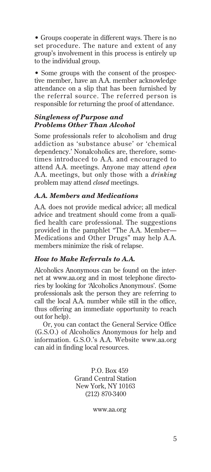• Groups cooperate in different ways. There is no set procedure. The nature and extent of any group's involvement in this process is entirely up to the individual group.

• Some groups with the consent of the prospective member, have an A.A. member acknowledge attendance on a slip that has been furnished by the referral source. The referred person is responsible for returning the proof of attendance.

#### *Singleness of Purpose and Problems Other Than Alcohol*

Some professionals refer to alcoholism and drug addiction as 'substance abuse' or 'chemical dependency.' Nonalcoholics are, therefore, sometimes introduced to A.A. and encouraged to attend A.A. meetings. Anyone may attend *open* A.A. meetings, but only those with a *drinking* problem may attend *closed* meetings.

# *A.A. Members and Medications*

A.A. does not provide medical advice; all medical advice and treatment should come from a qualified health care professional. The suggestions provided in the pamphlet "The A.A. Member— Medications and Other Drugs" may help A.A. members minimize the risk of relapse.

### *How to Make Referrals to A.A.*

Alcoholics Anonymous can be found on the internet at www.aa.org and in most telephone directories by looking for *'*Alcoholics Anonymous'. (Some professionals ask the person they are referring to call the local A.A. number while still in the office, thus offering an immediate opportunity to reach out for help).

Or, you can contact the General Service Office (G.S.O.) of Alcoholics Anonymous for help and information. G.S.O.'s A.A. Website www.aa.org can aid in finding local resources.

> P.O. Box 459 Grand Central Station New York, NY 10163 (212) 870-3400

> > www.aa.org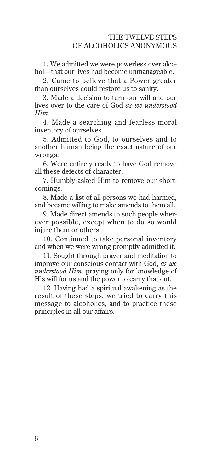1. We admitted we were powerless over alcohol—that our lives had become unmanageable.

2. Came to believe that a Power greater than ourselves could restore us to sanity.

3. Made a decision to turn our will and our lives over to the care of God *as we understood Him.*

4. Made a searching and fearless moral inventory of ourselves.

5. Admitted to God, to ourselves and to another human being the exact nature of our wrongs.

6. Were entirely ready to have God remove all these defects of character.

7. Humbly asked Him to remove our shortcomings.

8. Made a list of all persons we had harmed, and became willing to make amends to them all.

9. Made direct amends to such people wherever possible, except when to do so would injure them or others.

10. Continued to take personal inventory and when we were wrong promptly admitted it.

11. Sought through prayer and meditation to improve our conscious contact with God, *as we understood Him,* praying only for knowledge of His will for us and the power to carry that out.

12. Having had a spiritual awakening as the result of these steps, we tried to carry this message to alcoholics, and to practice these principles in all our affairs.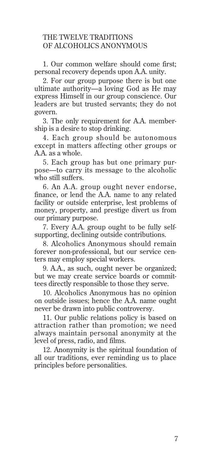# THE TWELVE TRADITIONS OF ALCOHOLICS ANONYMOUS

1. Our common welfare should come first; personal recovery depends upon A.A. unity.

2. For our group purpose there is but one ultimate authority—a loving God as He may express Himself in our group conscience. Our leaders are but trusted servants; they do not govern.

3. The only requirement for A.A. membership is a desire to stop drinking.

4. Each group should be autonomous except in matters affecting other groups or A.A. as a whole.

5. Each group has but one primary purpose—to carry its message to the alcoholic who still suffers.

6. An A.A. group ought never endorse, finance, or lend the A.A. name to any related facility or outside enterprise, lest problems of money, property, and prestige divert us from our primary purpose.

7. Every A.A. group ought to be fully selfsupporting, declining outside contributions.

8. Alcoholics Anonymous should remain forever non-professional, but our service centers may employ special workers.

9. A.A., as such, ought never be organized; but we may create service boards or committees directly responsible to those they serve.

10. Alcoholics Anonymous has no opinion on outside issues; hence the A.A. name ought never be drawn into public controversy.

11. Our public relations policy is based on attraction rather than promotion; we need always maintain personal anonymity at the level of press, radio, and films.

12. Anonymity is the spiritual foundation of all our traditions, ever reminding us to place principles before personalities.